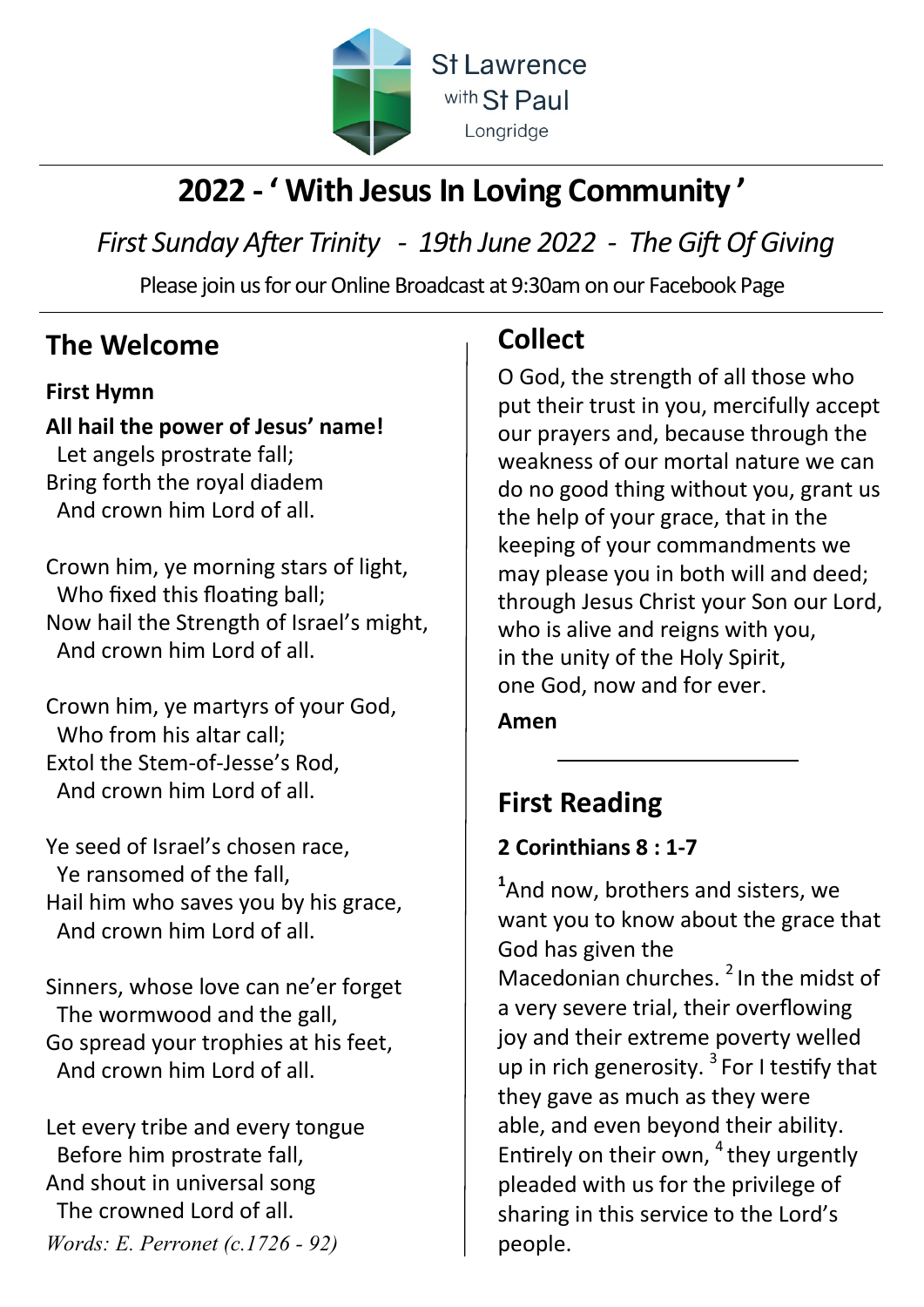

# **2022 - ' With Jesus In Loving Community '**

*First Sunday After Trinity - 19th June 2022 - The Gift Of Giving*

Please join us for our Online Broadcast at 9:30am on our Facebook Page

# **The Welcome**

### **First Hymn**

# **All hail the power of Jesus' name!**

 Let angels prostrate fall; Bring forth the royal diadem And crown him Lord of all.

Crown him, ye morning stars of light, Who fixed this floating ball; Now hail the Strength of Israel's might, And crown him Lord of all.

Crown him, ye martyrs of your God, Who from his altar call; Extol the Stem-of-Jesse's Rod, And crown him Lord of all.

Ye seed of Israel's chosen race, Ye ransomed of the fall, Hail him who saves you by his grace, And crown him Lord of all.

Sinners, whose love can ne'er forget The wormwood and the gall, Go spread your trophies at his feet, And crown him Lord of all.

Let every tribe and every tongue Before him prostrate fall, And shout in universal song The crowned Lord of all. *Words: E. Perronet (c.1726 - 92)*

# **Collect**

O God, the strength of all those who put their trust in you, mercifully accept our prayers and, because through the weakness of our mortal nature we can do no good thing without you, grant us the help of your grace, that in the keeping of your commandments we may please you in both will and deed; through Jesus Christ your Son our Lord, who is alive and reigns with you, in the unity of the Holy Spirit, one God, now and for ever.

### **Amen**

# **First Reading**

# **2 Corinthians 8 : 1-7**

**1** And now, brothers and sisters, we want you to know about the grace that God has given the Macedonian churches. <sup>2</sup> In the midst of a very severe trial, their overflowing joy and their extreme poverty welled up in rich generosity. <sup>3</sup> For I testify that they gave as much as they were able, and even beyond their ability. Entirely on their own, <sup>4</sup> they urgently pleaded with us for the privilege of sharing in this service to the Lord's people.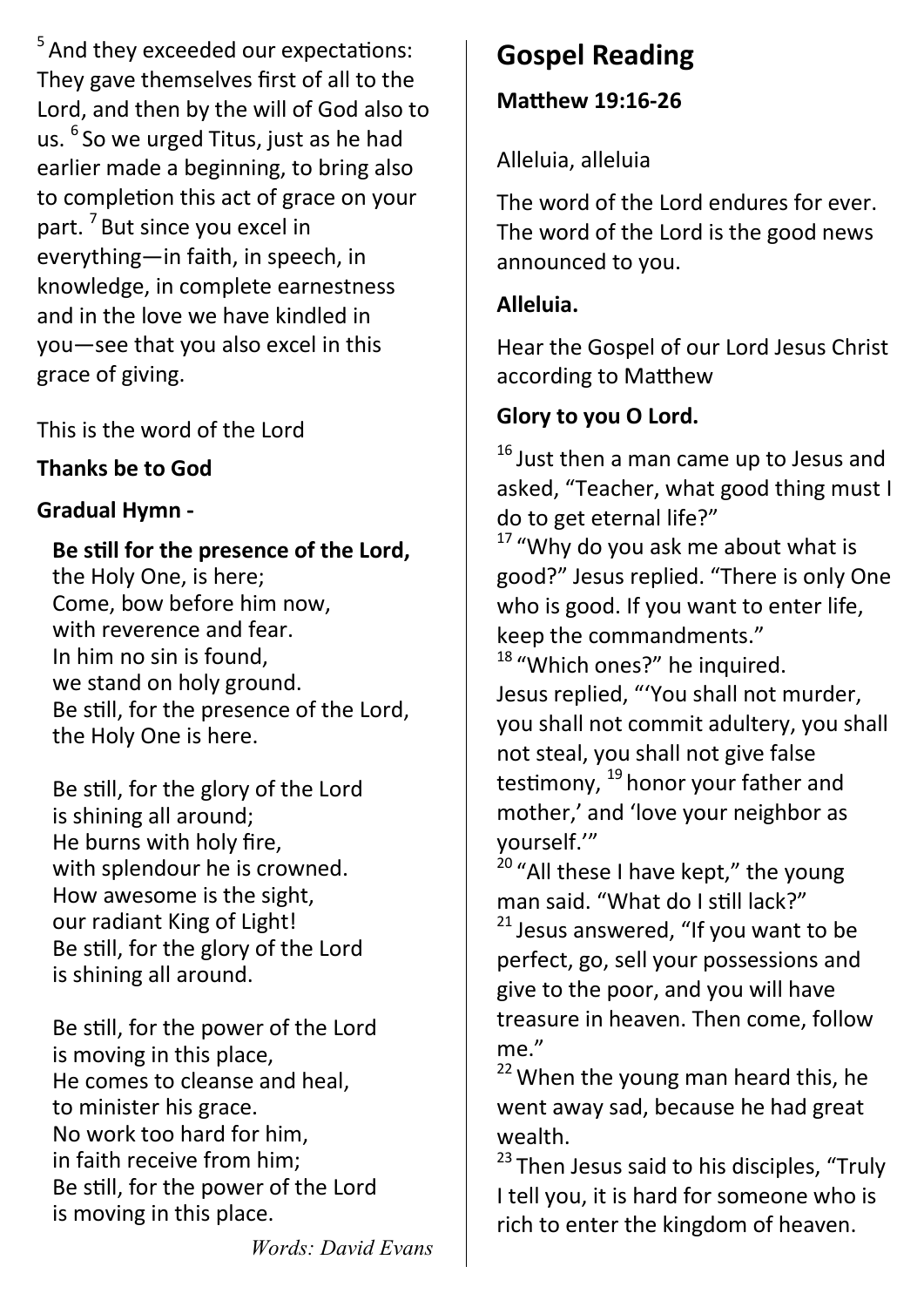<sup>5</sup> And they exceeded our expectations: They gave themselves first of all to the Lord, and then by the will of God also to us. <sup>6</sup> So we urged Titus, just as he had earlier made a beginning, to bring also to completion this act of grace on your part.<sup>7</sup> But since you excel in everything—in faith, in speech, in knowledge, in complete earnestness and in the love we have kindled in you—see that you also excel in this grace of giving.

This is the word of the Lord

**Thanks be to God**

### **Gradual Hymn -**

#### **Be still for the presence of the Lord,**

the Holy One, is here; Come, bow before him now, with reverence and fear. In him no sin is found, we stand on holy ground. Be still, for the presence of the Lord, the Holy One is here.

Be still, for the glory of the Lord is shining all around; He burns with holy fire, with splendour he is crowned. How awesome is the sight, our radiant King of Light! Be still, for the glory of the Lord is shining all around.

Be still, for the power of the Lord is moving in this place, He comes to cleanse and heal, to minister his grace. No work too hard for him, in faith receive from him; Be still, for the power of the Lord is moving in this place.

# **Gospel Reading**

**Matthew 19:16-26**

Alleluia, alleluia

The word of the Lord endures for ever. The word of the Lord is the good news announced to you.

### **Alleluia.**

Hear the Gospel of our Lord Jesus Christ according to Matthew

# **Glory to you O Lord.**

 $16$  Just then a man came up to Jesus and asked, "Teacher, what good thing must I do to get eternal life?"

 $17$  "Why do you ask me about what is good?" Jesus replied. "There is only One who is good. If you want to enter life, keep the commandments."

<sup>18</sup> "Which ones?" he inquired. Jesus replied, "'You shall not murder, you shall not commit adultery, you shall not steal, you shall not give false testimony, <sup>19</sup> honor your father and mother,' and 'love your neighbor as yourself.'"

 $20$  "All these I have kept," the young man said. "What do I still lack?"

 $21$  Jesus answered, "If you want to be perfect, go, sell your possessions and give to the poor, and you will have treasure in heaven. Then come, follow me."

<sup>22</sup> When the young man heard this, he went away sad, because he had great wealth.

<sup>23</sup> Then Jesus said to his disciples, "Truly I tell you, it is hard for someone who is rich to enter the kingdom of heaven.

*Words: David Evans*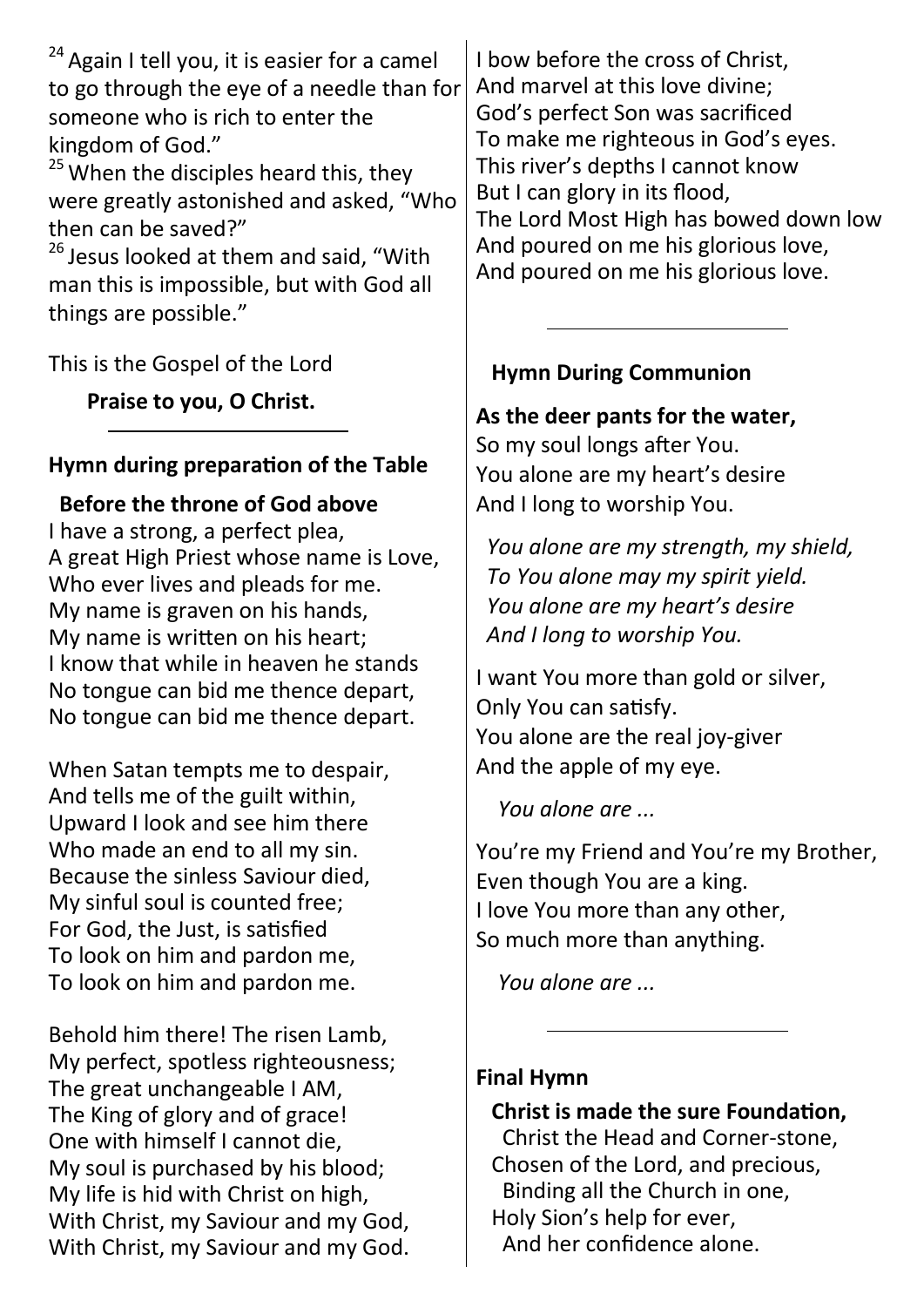$24$  Again I tell you, it is easier for a camel to go through the eye of a needle than for someone who is rich to enter the kingdom of God."

<sup>25</sup> When the disciples heard this, they were greatly astonished and asked, "Who then can be saved?"

<sup>26</sup> Jesus looked at them and said, "With man this is impossible, but with God all things are possible."

This is the Gospel of the Lord

 **Praise to you, O Christ.**

## **Hymn during preparation of the Table**

**Before the throne of God above**

I have a strong, a perfect plea, A great High Priest whose name is Love, Who ever lives and pleads for me. My name is graven on his hands, My name is written on his heart; I know that while in heaven he stands No tongue can bid me thence depart, No tongue can bid me thence depart.

When Satan tempts me to despair, And tells me of the guilt within, Upward I look and see him there Who made an end to all my sin. Because the sinless Saviour died, My sinful soul is counted free; For God, the Just, is satisfied To look on him and pardon me, To look on him and pardon me.

Behold him there! The risen Lamb, My perfect, spotless righteousness; The great unchangeable I AM, The King of glory and of grace! One with himself I cannot die, My soul is purchased by his blood; My life is hid with Christ on high, With Christ, my Saviour and my God, With Christ, my Saviour and my God.

I bow before the cross of Christ, And marvel at this love divine; God's perfect Son was sacrificed To make me righteous in God's eyes. This river's depths I cannot know But I can glory in its flood, The Lord Most High has bowed down low And poured on me his glorious love, And poured on me his glorious love.

# **Hymn During Communion**

**As the deer pants for the water,**

So my soul longs after You. You alone are my heart's desire And I long to worship You.

 *You alone are my strength, my shield, To You alone may my spirit yield. You alone are my heart's desire And I long to worship You.*

I want You more than gold or silver, Only You can satisfy. You alone are the real joy-giver And the apple of my eye.

*You alone are ...*

You're my Friend and You're my Brother, Even though You are a king. I love You more than any other, So much more than anything.

*You alone are ...*

### **Final Hymn**

#### **Christ is made the sure Foundation,** Christ the Head and Corner-stone, Chosen of the Lord, and precious, Binding all the Church in one, Holy Sion's help for ever, And her confidence alone.